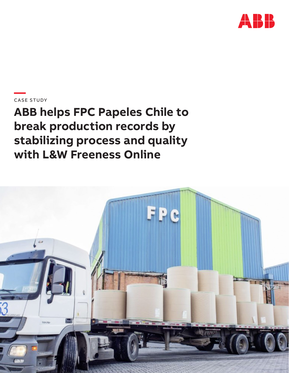

**—**CASE STUDY

**ABB helps FPC Papeles Chile to break production records by stabilizing process and quality with L&W Freeness Online**

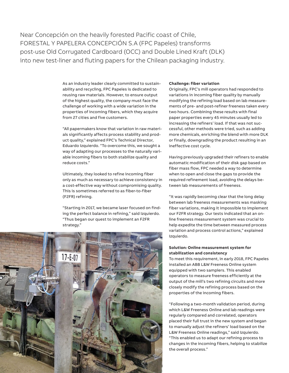Near Concepción on the heavily forested Pacific coast of Chile, FORESTAL Y PAPELERA CONCEPCIÓN S.A (FPC Papeles) transforms post-use Old Corrugated Cardboard (OCC) and Double Lined Kraft (DLK) into new test-liner and fluting papers for the Chilean packaging industry.

> As an industry leader clearly committed to sustainability and recycling, FPC Papeles is dedicated to reusing raw materials. However, to ensure output of the highest quality, the company must face the challenge of working with a wide variation in the properties of incoming fibers, which they acquire from 27 cities and five customers.

"All papermakers know that variation in raw materials significantly affects process stability and product quality," explained FPC's Technical Director, Eduardo Izquierdo. "To overcome this, we sought a way of adapting our processes to the naturally variable incoming fibers to both stabilize quality and reduce costs."

Ultimately, they looked to refine incoming fiber only as much as necessary to achieve consistency in a cost-effective way without compromising quality. This is sometimes referred to as fiber-to-fiber (F2FR) refining.

"Starting in 2017, we became laser focused on finding the perfect balance in refining," said Izquierdo. "Thus began our quest to implement an F2FR strategy."



#### **Challenge: fiber variation**

Originally, FPC's mill operators had responded to variations in incoming fiber quality by manually modifying the refining load based on lab measurements of pre- and post-refiner freeness taken every two hours. Combining these results with final paper properties every 45 minutes usually led to increasing the refiners' load. If that was not successful, other methods were tried, such as adding more chemicals, enriching the blend with more DLK or finally, downgrading the product resulting in an ineffective cost cycle.

Having previously upgraded their refiners to enable automatic modification of their disk gap based on fiber mass flow, FPC needed a way to determine when to open and close the gaps to provide the required refinement load, avoiding the delays between lab measurements of freeness.

"It was rapidly becoming clear that the long delay between lab freeness measurements was masking fiber variations, making it impossible to implement our F2FR strategy. Our tests indicated that an online freeness measurement system was crucial to help expedite the time between measured process variation and process control actions," explained Izquierdo.

# **Solution: Online measurement system for stabilization and consistency**

To meet this requirement, in early 2018, FPC Papeles installed an ABB L&W Freeness Online system equipped with two samplers. This enabled operators to measure freeness efficiently at the output of the mill's two refining circuits and more closely modify the refining process based on the properties of the incoming fibers.

"Following a two-month validation period, during which L&W Freeness Online and lab readings were regularly compared and correlated, operators placed their full trust in the new system and began to manually adjust the refiners' load based on the L&W Freeness Online readings," said Izquierdo. "This enabled us to adapt our refining process to changes in the incoming fibers, helping to stabilize the overall process."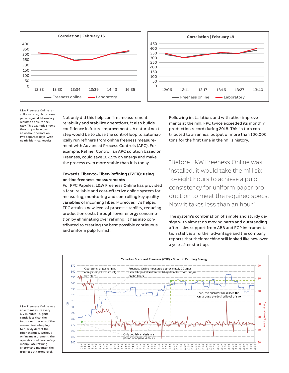

— L&W Freeness Online results were regularly compared against laboratory results to ensure accuracy. This example shows the comparison over a two hour period, on two separate days, with nearly identical results.

Not only did this help confirm measurement reliability and stabilize operations, it also builds confidence in future improvements. A natural next step would be to close the control loop to automatically run refiners from online freeness measurement with Advanced Process Controls (APC). For example, Refiner Control, an APC solution based on Freeness, could save 10-15% on energy and make the process even more stable than it is today.

## **Towards Fiber-to-Fiber-Refining (F2FR): using on-line freeness measurements**

For FPC Papeles, L&W Freeness Online has provided a fast, reliable and cost-effective online system for measuring, monitoring and controlling key quality variables of incoming fiber. Moreover, it's helped FPC attain a new level of process stability, reducing production costs through lower energy consumption by eliminating over refining. It has also contributed to creating the best possible continuous and uniform pulp furnish.

Following installation, and with other improvements at the mill, FPC twice exceeded its monthly production record during 2018. This in turn contributed to an annual output of more than 100,000 tons for the first time in the mill's history.

"Before L&W Freeness Online was installed, it would take the mill sixto-eight hours to achieve a pulp consistency for uniform paper production to meet the required specs. Now it takes less than an hour."

The system's combination of simple and sturdy design with almost no moving parts and outstanding after sales support from ABB and FCP instrumentation staff, is a further advantage and the company reports that their machine still looked like new over a year after start-up.



—

—

able to measure every 6-7 minutes – significantly less than the two-hour intervals of the manual test – helping to quickly detect the fiber changes. Without online measurement, the operator could not safely manipulate refining energy and maintain the freeness at target level.

L&W Freeness Online was